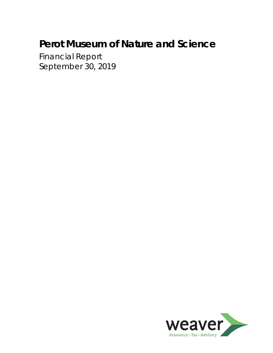Financial Report September 30, 2019

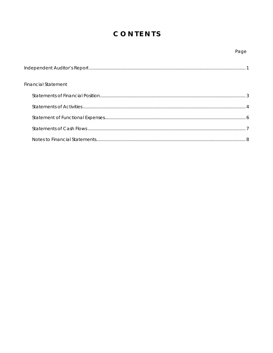# CONTENTS

### Page

| <b>Financial Statement</b> |  |
|----------------------------|--|
|                            |  |
|                            |  |
|                            |  |
|                            |  |
|                            |  |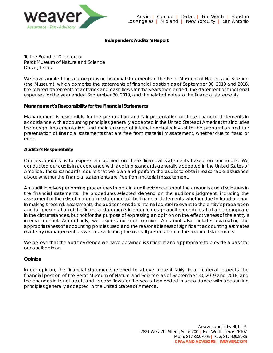

#### **Independent Auditor's Report**

To the Board of Directors of Perot Museum of Nature and Science Dallas, Texas

We have audited the accompanying financial statements of the Perot Museum of Nature and Science (the Museum), which comprise the statements of financial position as of September 30, 2019 and 2018, the related statements of activities and cash flows for the years then ended, the statement of functional expenses for the year ended September 30, 2019, and the related notes to the financial statements.

#### **Management's Responsibility for the Financial Statements**

Management is responsible for the preparation and fair presentation of these financial statements in accordance with accounting principles generally accepted in the United States of America; this includes the design, implementation, and maintenance of internal control relevant to the preparation and fair presentation of financial statements that are free from material misstatement, whether due to fraud or error.

#### **Auditor's Responsibility**

Our responsibility is to express an opinion on these financial statements based on our audits. We conducted our audits in accordance with auditing standards generally accepted in the United States of America. Those standards require that we plan and perform the audits to obtain reasonable assurance about whether the financial statements are free from material misstatement.

An audit involves performing procedures to obtain audit evidence about the amounts and disclosures in the financial statements. The procedures selected depend on the auditor's judgment, including the assessment of the risks of material misstatement of the financial statements, whether due to fraud or error. In making those risk assessments, the auditor considers internal control relevant to the entity's preparation and fair presentation of the financial statements in order to design audit procedures that are appropriate in the circumstances, but not for the purpose of expressing an opinion on the effectiveness of the entity's internal control. Accordingly, we express no such opinion. An audit also includes evaluating the appropriateness of accounting policies used and the reasonableness of significant accounting estimates made by management, as well as evaluating the overall presentation of the financial statements.

We believe that the audit evidence we have obtained is sufficient and appropriate to provide a basis for our audit opinion.

#### **Opinion**

In our opinion, the financial statements referred to above present fairly, in all material respects, the financial position of the Perot Museum of Nature and Science as of September 30, 2019 and 2018, and the changes in its net assets and its cash flows for the years then ended in accordance with accounting principles generally accepted in the United States of America.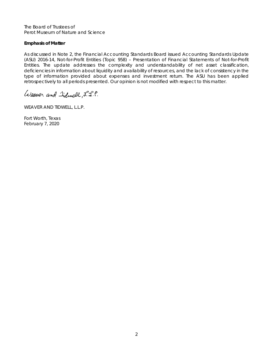The Board of Trustees of Perot Museum of Nature and Science

#### **Emphasis of Matter**

As discussed in Note 2, the Financial Accounting Standards Board issued Accounting Standards Update (ASU) 2016-14, Not-for-Profit Entities (Topic 958) – Presentation of Financial Statements of Not-for-Profit Entities. The update addresses the complexity and understandability of net asset classification, deficiencies in information about liquidity and availability of resources, and the lack of consistency in the type of information provided about expenses and investment return. The ASU has been applied retrospectively to all periods presented. Our opinion is not modified with respect to this matter.

Weaver and Iiduell, L.S.P.

WEAVER AND TIDWELL, L.L.P.

Fort Worth, Texas February 7, 2020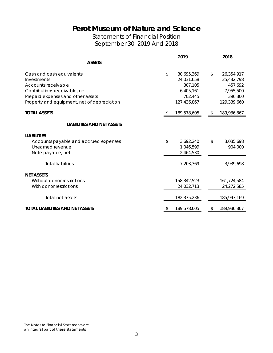Statements of Financial Position September 30, 2019 And 2018

|                                                                                                                                                                                      |    | 2019                                                                       |    | 2018                                                                       |
|--------------------------------------------------------------------------------------------------------------------------------------------------------------------------------------|----|----------------------------------------------------------------------------|----|----------------------------------------------------------------------------|
| <b>ASSETS</b>                                                                                                                                                                        |    |                                                                            |    |                                                                            |
| Cash and cash equivalents<br>Investments<br>Accounts receivable<br>Contributions receivable, net<br>Prepaid expenses and other assets<br>Property and equipment, net of depreciation | \$ | 30,695,369<br>24,031,658<br>307,105<br>6,405,161<br>702,445<br>127,436,867 | \$ | 26,354,917<br>25,432,798<br>457,692<br>7,955,500<br>396,300<br>129,339,660 |
| <b>TOTAL ASSETS</b>                                                                                                                                                                  | -S | 189,578,605                                                                | -S | 189,936,867                                                                |
| <b>LIABILITIES AND NET ASSETS</b>                                                                                                                                                    |    |                                                                            |    |                                                                            |
| <b>LIABILITIES</b><br>Accounts payable and accrued expenses<br>Unearned revenue<br>Note payable, net                                                                                 | \$ | 3,692,240<br>1,046,599<br>2,464,530                                        | \$ | 3,035,698<br>904,000                                                       |
| <b>Total liabilities</b>                                                                                                                                                             |    | 7,203,369                                                                  |    | 3,939,698                                                                  |
| <b>NET ASSETS</b><br>Without donor restrictions<br>With donor restrictions                                                                                                           |    | 158,342,523<br>24,032,713                                                  |    | 161,724,584<br>24,272,585                                                  |
| Total net assets                                                                                                                                                                     |    | 182,375,236                                                                |    | 185,997,169                                                                |
| <b>TOTAL LIABILITIES AND NET ASSETS</b>                                                                                                                                              | \$ | 189,578,605                                                                | \$ | 189,936,867                                                                |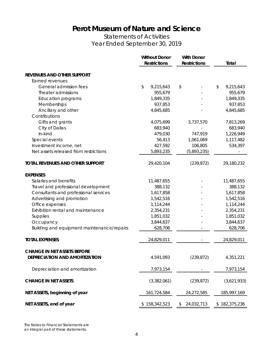Statements of Activities Year Ended September 30, 2019

|                                            | <b>Without Donor</b><br><b>With Donor</b><br><b>Restrictions</b><br><b>Restrictions</b> |               | Total            |                 |
|--------------------------------------------|-----------------------------------------------------------------------------------------|---------------|------------------|-----------------|
| <b>REVENUES AND OTHER SUPPORT</b>          |                                                                                         |               |                  |                 |
| Earned revenues                            |                                                                                         |               |                  |                 |
| General admission fees                     | \$                                                                                      | 9,215,643     | \$               | \$<br>9,215,643 |
| Theater admissions                         |                                                                                         | 955,679       |                  | 955,679         |
| <b>Education programs</b>                  |                                                                                         | 1,849,335     |                  | 1,849,335       |
| Memberships                                |                                                                                         | 937,853       |                  | 937,853         |
| Ancillary and other                        |                                                                                         | 4,845,685     |                  | 4,845,685       |
| Contributions                              |                                                                                         |               |                  |                 |
| Gifts and grants                           |                                                                                         | 4,075,699     | 3,737,570        | 7,813,269       |
| City of Dallas                             |                                                                                         | 683,940       |                  | 683,940         |
| In-kind                                    |                                                                                         | 479,030       | 747,919          | 1,226,949       |
| Special events                             |                                                                                         | 56,413        | 1,061,069        | 1,117,482       |
| Investment income, net                     |                                                                                         | 427,592       | 106,805          | 534,397         |
| Net assets released from restrictions      |                                                                                         | 5,893,235     | (5,893,235)      |                 |
| TOTAL REVENUES AND OTHER SUPPORT           |                                                                                         | 29,420,104    | (239, 872)       | 29,180,232      |
| <b>EXPENSES</b>                            |                                                                                         |               |                  |                 |
| Salaries and benefits                      |                                                                                         | 11,487,655    |                  | 11,487,655      |
| Travel and professional development        |                                                                                         | 388,132       |                  | 388,132         |
| Consultants and professional services      |                                                                                         | 1,617,858     |                  | 1,617,858       |
| Advertising and promotion                  |                                                                                         | 1,542,516     |                  | 1,542,516       |
| Office expenses                            |                                                                                         | 1,114,244     |                  | 1,114,244       |
| Exhibition rental and maintenance          |                                                                                         | 2,354,231     |                  | 2,354,231       |
| <b>Supplies</b>                            |                                                                                         | 1,851,032     |                  | 1,851,032       |
| Occupancy                                  |                                                                                         | 3,844,637     |                  | 3,844,637       |
| Building and equipment maintenance/repairs |                                                                                         | 628,706       |                  | 628,706         |
| <b>TOTAL EXPENSES</b>                      |                                                                                         | 24,829,011    |                  | 24,829,011      |
| <b>CHANGE IN NET ASSETS BEFORE</b>         |                                                                                         |               |                  |                 |
| DEPRECIATION AND AMORTIZATION              |                                                                                         | 4,591,093     | (239, 872)       | 4,351,221       |
| Depreciation and amortization              |                                                                                         | 7,973,154     |                  | 7,973,154       |
| <b>CHANGE IN NET ASSETS</b>                |                                                                                         | (3,382,061)   | (239, 872)       | (3,621,933)     |
| NET ASSETS, beginning of year              |                                                                                         | 161,724,584   | 24,272,585       | 185,997,169     |
| NET ASSETS, end of year                    |                                                                                         | \$158,342,523 | \$<br>24,032,713 | \$182,375,236   |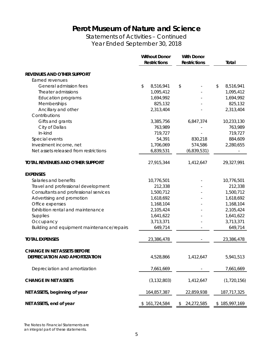Statements of Activities – Continued Year Ended September 30, 2018

|                                            | <b>Without Donor</b><br><b>With Donor</b><br><b>Restrictions</b><br><b>Restrictions</b> |               |    | Total       |                 |
|--------------------------------------------|-----------------------------------------------------------------------------------------|---------------|----|-------------|-----------------|
| <b>REVENUES AND OTHER SUPPORT</b>          |                                                                                         |               |    |             |                 |
| Earned revenues                            |                                                                                         |               |    |             |                 |
| General admission fees                     | \$                                                                                      | 8,516,941     | \$ |             | \$<br>8,516,941 |
| Theater admissions                         |                                                                                         | 1,095,412     |    |             | 1,095,412       |
| <b>Education programs</b>                  |                                                                                         | 1,694,992     |    |             | 1,694,992       |
| Memberships                                |                                                                                         | 825,132       |    |             | 825,132         |
| Ancillary and other                        |                                                                                         | 2,313,404     |    |             | 2,313,404       |
| Contributions                              |                                                                                         |               |    |             |                 |
| Gifts and grants                           |                                                                                         | 3,385,756     |    | 6,847,374   | 10,233,130      |
| City of Dallas                             |                                                                                         | 763,989       |    |             | 763,989         |
| In-kind                                    |                                                                                         | 719,727       |    |             | 719,727         |
| Special events                             |                                                                                         | 54,391        |    | 830,218     | 884,609         |
| Investment income, net                     |                                                                                         | 1,706,069     |    | 574,586     | 2,280,655       |
| Net assets released from restrictions      |                                                                                         | 6,839,531     |    | (6,839,531) |                 |
| <b>TOTAL REVENUES AND OTHER SUPPORT</b>    |                                                                                         | 27,915,344    |    | 1,412,647   | 29,327,991      |
| <b>EXPENSES</b>                            |                                                                                         |               |    |             |                 |
| Salaries and benefits                      |                                                                                         | 10,776,501    |    |             | 10,776,501      |
| Travel and professional development        |                                                                                         | 212,338       |    |             | 212,338         |
| Consultants and professional services      |                                                                                         | 1,500,712     |    |             | 1,500,712       |
| Advertising and promotion                  |                                                                                         | 1,618,692     |    |             | 1,618,692       |
| Office expenses                            |                                                                                         | 1,168,104     |    |             | 1,168,104       |
| Exhibition rental and maintenance          |                                                                                         | 2,105,424     |    |             | 2,105,424       |
| Supplies                                   |                                                                                         | 1,641,622     |    |             | 1,641,622       |
| Occupancy                                  |                                                                                         | 3,713,371     |    |             | 3,713,371       |
| Building and equipment maintenance/repairs |                                                                                         | 649,714       |    |             | 649,714         |
| <b>TOTAL EXPENSES</b>                      |                                                                                         | 23,386,478    |    |             | 23,386,478      |
| <b>CHANGE IN NET ASSETS BEFORE</b>         |                                                                                         |               |    |             |                 |
| DEPRECIATION AND AMORTIZATION              |                                                                                         | 4,528,866     |    | 1,412,647   | 5,941,513       |
| Depreciation and amortization              |                                                                                         | 7,661,669     |    |             | 7,661,669       |
| <b>CHANGE IN NET ASSETS</b>                |                                                                                         | (3, 132, 803) |    | 1,412,647   | (1,720,156)     |
| NET ASSETS, beginning of year              |                                                                                         | 164,857,387   |    | 22,859,938  | 187,717,325     |
| NET ASSETS, end of year                    |                                                                                         | \$161,724,584 | \$ | 24,272,585  | \$185,997,169   |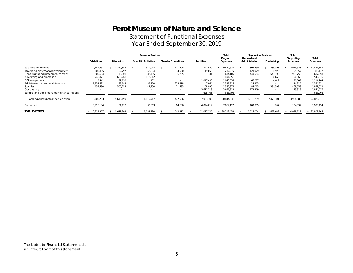Statement of Functional Expenses Year Ended September 30, 2019

|                                            |             | <b>Program Services</b> |                              | Total                     | <b>Supporting Services</b> | Total               |                               |             |                        |                   |
|--------------------------------------------|-------------|-------------------------|------------------------------|---------------------------|----------------------------|---------------------|-------------------------------|-------------|------------------------|-------------------|
|                                            | Exhibitions | Education               | <b>Scientific Activities</b> | <b>Theater Operations</b> | <b>Facilities</b>          | Program<br>Expenses | General and<br>Administration | Fundraising | Supporting<br>Expenses | Total<br>Expenses |
| Salaries and benefits                      | 2.642.881   | 1.319.558               | 819.044                      | 121,408                   | 1.527.939                  | 9,430,830           | 598,430                       | 1,458,395   | 2,056,825              | 11,487,655        |
| Travel and professional development        | 103,355     | 52,797                  | 52,504                       | 4.560                     | 19.059                     | 232,275             | 123,929                       | 31,928      | 155,857                | 388,132           |
| Consultants and professional services      | 500,664     | 73,001                  | 32,455                       | 6,255                     | 21,731                     | 634,106             | 440,554                       | 543,198     | 983,752                | 1,617,858         |
| Advertising and promotion                  | 746,371     | 633,268                 | 112,212                      |                           |                            | 1,491,851           |                               | 50,665      | 50,665                 | 1,542,516         |
| Office expenses                            | 3.441       | 22,139                  | 482                          |                           | 1.017.493                  | 1,043,555           | 66,077                        | 4.612       | 70,689                 | 1,114,244         |
| Exhibition rental and maintenance          | 1,952,581   | 39,183                  | 55,770                       | 273.818                   | 7,964                      | 2,329,316           | 24,915                        |             | 24,915                 | 2,354,231         |
| Supplies                                   | 654.490     | 500,253                 | 47,250                       | 71,485                    | 108,896                    | 1,382,374           | 84,065                        | 384,593     | 468,658                | 1,851,032         |
| Occupancy                                  |             |                         |                              |                           | 3,671,318                  | 3,671,318           | 173,319                       |             | 173,319                | 3,844,637         |
| Building and equipment maintenance/repairs |             |                         |                              |                           | 628,706                    | 628,706             |                               |             |                        | 628,706           |
| Total expenses before depreciation         | 6,603,783   | 5,640,199               | 1,119,717                    | 477,526                   | 7,003,106                  | 20,844,331          | 1,511,289                     | 2,473,391   | 3,984,680              | 24,829,011        |
| Depreciation                               | 3,716,184   | 31,170                  | 33,063                       | 64,686                    | 4,024,019                  | 7,869,122           | 103,785                       | 247         | 104,032                | 7,973,154         |
| <b>TOTAL EXPENSES</b>                      | 10,319,967  | 5,671,369               | 1,152,780                    | 542,212                   | 11,027,125                 | \$28,713,453        | 1,615,074                     | \$2.473.638 | 4,088,712              | 32,802,165        |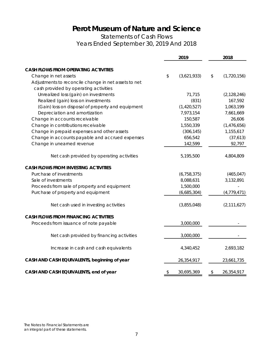Statements of Cash Flows Years Ended September 30, 2019 And 2018

|                                                      | 2019              | 2018              |
|------------------------------------------------------|-------------------|-------------------|
| <b>CASH FLOWS FROM OPERATING ACTIVITIES</b>          |                   |                   |
| Change in net assets                                 | \$<br>(3,621,933) | \$<br>(1,720,156) |
| Adjustments to reconcile change in net assets to net |                   |                   |
| cash provided by operating activities                |                   |                   |
| Unrealized loss (gain) on investments                | 71,715            | (2, 128, 246)     |
| Realized (gain) loss on investments                  | (831)             | 167,592           |
| (Gain) loss on disposal of property and equipment    | (1,420,527)       | 1,063,199         |
| Depreciation and amortization                        | 7,973,154         | 7,661,669         |
| Change in accounts receivable                        | 150,587           | 26,606            |
| Change in contributions receivable                   | 1,550,339         | (1,476,656)       |
| Change in prepaid expenses and other assets          | (306, 145)        | 1,155,617         |
| Change in accounts payable and accrued expenses      | 656,542           | (37,613)          |
| Change in unearned revenue                           | 142,599           | 92,797            |
| Net cash provided by operating activities            | 5,195,500         | 4,804,809         |
| <b>CASH FLOWS FROM INVESTING ACTIVITIES</b>          |                   |                   |
| Purchase of investments                              | (6, 758, 375)     | (465, 047)        |
| Sale of investments                                  | 8,088,631         | 3,132,891         |
| Proceeds from sale of property and equipment         | 1,500,000         |                   |
| Purchase of property and equipment                   | (6,685,304)       | (4, 779, 471)     |
| Net cash used in investing activities                | (3,855,048)       | (2, 111, 627)     |
| <b>CASH FLOWS FROM FINANCING ACTIVITIES</b>          |                   |                   |
| Proceeds from issuance of note payable               | 3,000,000         |                   |
| Net cash provided by financing activities            | 3,000,000         |                   |
| Increase in cash and cash equivalents                | 4,340,452         | 2,693,182         |
| CASH AND CASH EQUIVALENTS, beginning of year         | 26,354,917        | 23,661,735        |
| CASH AND CASH EQUIVALENTS, end of year               | \$<br>30,695,369  | \$<br>26,354,917  |

The Notes to Financial Statements are an integral part of these statements.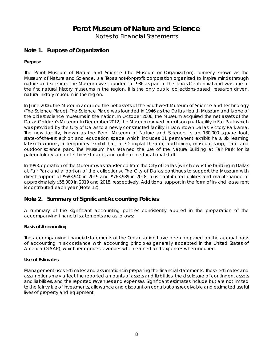Notes to Financial Statements

### **Note 1. Purpose of Organization**

#### **Purpose**

The Perot Museum of Nature and Science (the Museum or Organization), formerly known as the Museum of Nature and Science, is a Texas not-for-profit corporation organized to inspire minds through nature and science. The Museum was founded in 1936 as part of the Texas Centennial and was one of the first natural history museums in the region. It is the only public collections-based, research driven, natural history museum in the region.

In June 2006, the Museum acquired the net assets of the Southwest Museum of Science and Technology (The Science Place). The Science Place was founded in 1946 as the Dallas Health Museum and is one of the oldest science museums in the nation. In October 2006, the Museum acquired the net assets of the Dallas Children's Museum. In December 2012, the Museum moved from its original facility in Fair Park which was provided by the City of Dallas to a newly constructed facility in Downtown Dallas' Victory Park area. The new facility, known as the Perot Museum of Nature and Science, is an 180,000 square foot, state-of-the-art exhibit and education space which includes 11 permanent exhibit halls, six learning labs/classrooms, a temporary exhibit hall, a 3D digital theater, auditorium, museum shop, cafe and outdoor science park. The Museum has retained the use of the Nature Building at Fair Park for its paleontology lab, collections storage, and outreach educational staff.

In 1993, operation of the Museum was transferred from the City of Dallas (which owns the building in Dallas at Fair Park and a portion of the collections). The City of Dallas continues to support the Museum with direct support of \$683,940 in 2019 and \$763,989 in 2018, plus contributed utilities and maintenance of approximately \$58,000 in 2019 and 2018, respectively. Additional support in the form of in-kind lease rent is contributed each year (Note 12).

### **Note 2. Summary of Significant Accounting Policies**

A summary of the significant accounting policies consistently applied in the preparation of the accompanying financial statements are as follows:

### **Basis of Accounting**

The accompanying financial statements of the Organization have been prepared on the accrual basis of accounting in accordance with accounting principles generally accepted in the United States of America (GAAP), which recognizes revenues when earned and expenses when incurred.

#### **Use of Estimates**

Management uses estimates and assumptions in preparing the financial statements. Those estimates and assumptions may affect the reported amounts of assets and liabilities, the disclosure of contingent assets and liabilities, and the reported revenues and expenses. Significant estimates include but are not limited to the fair value of investments, allowance and discount on contributions receivable and estimated useful lives of property and equipment.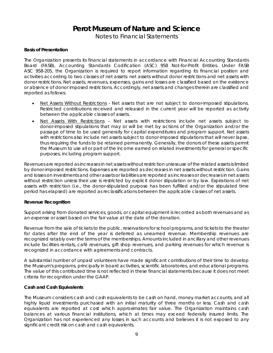Notes to Financial Statements

#### **Basis of Presentation**

The Organization presents its financial statements in accordance with Financial Accounting Standards Board (FASB), Accounting Standards Codification (ASC) 958 Not-for-Profit Entities. Under FASB ASC 958-205, the Organization is required to report information regarding its financial position and activities according to two classes of net assets: net assets without donor restrictions and net assets with donor restrictions. Net assets, revenues, expenses, gains and losses are classified based on the existence or absence of donor imposed restrictions. Accordingly, net assets and changes therein are classified and reported as follows:

- Net Assets Without Restrictions Net assets that are not subject to donor-imposed stipulations. Restricted contributions received and released in the current year will be reported as activity between the applicable classes of assets.
- Net Assets With Restrictions Net assets with restrictions include net assets subject to donor-imposed stipulations that may or will be met by actions of the Organization and/or the passage of time to be used generally for capital expenditures and program support. Net assets with restrictions also include net assets subject to donor-imposed stipulations that will never lapse, thus requiring the funds to be retained permanently. Generally, the donors of these assets permit the Museum to use all or part of the income earned on related investments for general or specific purposes, including program support.

Revenues are reported as increases in net assets without restriction unless use of the related assets is limited by donor-imposed restrictions. Expenses are reported as decreases in net assets without restriction. Gains and losses on investments and other assets or liabilities are reported as increases or decreases in net assets without restriction unless their use is restricted by explicit donor stipulation or by law. Expirations of net assets with restriction (i.e., the donor-stipulated purpose has been fulfilled and/or the stipulated time period has elapsed) are reported as reclassifications between the applicable classes of net assets.

#### **Revenue Recognition**

Support arising from donated services, goods, or capital equipment is recorded as both revenues and as an expense or asset based on the fair value at the date of the donation.

Revenue from the sale of tickets to the public, reservations for school programs, and tickets to the theater for dates after the end of the year is deferred as unearned revenue. Membership revenues are recognized ratably over the terms of the memberships. Amounts included in ancillary and other revenues include facilities rentals, café revenues, gift shop revenues, and parking revenues for which revenue is recognized in accordance with agreements and contracts.

A substantial number of unpaid volunteers have made significant contributions of their time to develop the Museum's programs, principally in board activities, scientific laboratories, and educational programs. The value of this contributed time is not reflected in these financial statements because it does not meet criteria for recognition under the GAAP.

#### **Cash and Cash Equivalents**

The Museum considers cash and cash equivalents to be cash on hand, money market accounts, and all highly liquid investments purchased with an initial maturity of three months or less. Cash and cash equivalents are reported at cost which approximates fair value. The Organization maintains cash balances at various financial institutions, which at times may exceed federally insured limits. The Organization has not experienced any losses in such accounts and believes it is not exposed to any significant credit risk on cash and cash equivalents.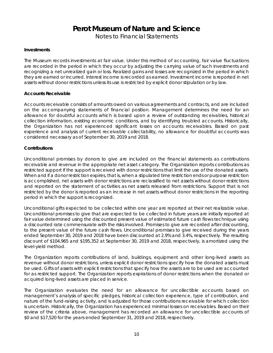Notes to Financial Statements

#### **Investments**

The Museum records investments at fair value. Under this method of accounting, fair value fluctuations are recorded in the period in which they occur by adjusting the carrying value of such investments and recognizing a net unrealized gain or loss. Realized gains and losses are recognized in the period in which they are earned or incurred. Interest income is recorded as earned. Investment income is reported in net assets without donor restrictions unless its use is restricted by explicit donor stipulation or by law.

#### **Accounts Receivable**

Accounts receivable consists of amounts owed on various agreements and contracts, and are included on the accompanying statements of financial position. Management determines the need for an allowance for doubtful accounts which is based upon a review of outstanding receivables, historical collection information, existing economic conditions, and by identifying troubled accounts. Historically, the Organization has not experienced significant losses on accounts receivables. Based on past experience and analysis of current receivable collectability, no allowance for doubtful accounts was considered necessary as of September 30, 2019 and 2018.

#### **Contributions**

Unconditional promises by donors to give are included on the financial statements as contributions receivable and revenue in the appropriate net asset category. The Organization reports contributions as restricted support if the support is received with donor restrictions that limit the use of the donated assets. When and if a donor restriction expires, that is, when a stipulated time restriction ends or purpose restriction is accomplished, net assets with donor restrictions are reclassified to net assets without donor restrictions and reported on the statement of activities as net assets released from restrictions. Support that is not restricted by the donor is reported as an increase in net assets without donor restrictions in the reporting period in which the support is recognized.

Unconditional gifts expected to be collected within one year are reported at their net realizable value. Unconditional promises to give that are expected to be collected in future years are initially reported at fair value determined using the discounted present value of estimated future cash flows technique using a discounted rate commensurate with the risks involved. Promises to give are recorded after discounting, to the present value of the future cash flows. Unconditional promises to give received during the years ended September 30, 2019 and 2018 have been discounted at 2.9% and 3.4%, respectively. The resulting discount of \$104,965 and \$195,352 at September 30, 2019 and 2018, respectively, is amortized using the level-yield method.

The Organization reports contributions of land, buildings, equipment and other long-lived assets as revenue without donor restrictions, unless explicit donor restrictions specify how the donated assets must be used. Gifts of assets with explicit restrictions that specify how the assets are to be used are accounted for as restricted support. The Organization reports expirations of donor restrictions when the donated or acquired long-lived assets are placed in service.

The Organization evaluates the need for an allowance for uncollectible accounts based on management's analysis of specific pledges, historical collection experience, type of contribution, and nature of the fund-raising activity, and is adjusted for those contributions receivable for which collection is uncertain. Historically, the Organization has experienced minimal losses on receivables. Based on their review of the criteria above, management has recorded an allowance for uncollectible accounts of \$0 and \$17,520 for the years ended September 31, 2019 and 2018, respectively.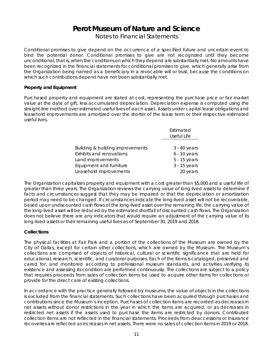Notes to Financial Statements

Conditional promises to give depend on the occurrence of a specified future and uncertain event to bind the potential donor. Conditional promises to give are not recognized until they become unconditional, that is, when the conditions on which they depend are substantially met. No amounts have been recognized in the financial statements for conditional promises to give, which generally arise from the Organization being named as a beneficiary in a revocable will or trust, because the conditions on which such contributions depend have not been substantially met.

#### **Property and Equipment**

Purchased property and equipment are stated at cost, representing the purchase price or fair market value at the date of gift, less accumulated depreciation. Depreciation expense is computed using the straight-line method over estimated useful lives of each asset. Assets under capital lease obligations and leasehold improvements are amortized over the shorter of the lease term or their respective estimated useful lives.

|                                  | Estimated      |
|----------------------------------|----------------|
|                                  | Useful Life    |
|                                  |                |
| Building & building improvements | $3 - 40$ years |
| Exhibits and renovations         | $6 - 10$ years |
| Land improvements                | $5 - 15$ years |
| Equipment and furniture          | 3 - 15 years   |
| Leasehold improvements           | 20 years       |

The Organization capitalizes property and equipment with a cost greater than \$5,000 and a useful life of greater than three years. The Organization reviews the carrying value of long-lived assets to determine if facts and circumstances suggest that they may be impaired or that the depreciation or amortization period may need to be changed. If circumstances indicate the long-lived asset will not be recoverable, based upon undiscounted cash flows of the long-lived asset over the remaining life, the carrying value of the long-lived asset will be reduced by the estimated shortfall of discounted cash flows. The Organization does not believe there are any indicators that would require an adjustment of the carrying value of its long-lived assets or their remaining useful lives as of September 30, 2019 and 2018.

### **Collections**

The physical facilities at Fair Park and a portion of the collections of the Museum are owned by the City of Dallas, except for certain other collections, which are owned by the Museum. The Museum's collections are comprised of objects of historical, cultural or scientific significance that are held for educational, research, scientific, and curatorial purposes. Each of the items is cataloged, preserved and cared for, and monitored according to professional museum standards, and activities verifying its existence and assessing its condition are performed continuously. The collections are subject to a policy that requires proceeds from sales of collection items be used to acquire other items for collections or provide for the direct care of existing collections.

In accordance with the practice generally followed by museums, the value of objects in the collections is excluded from the financial statements. Such collections have been acquired through purchases and contributions since the Museum's inception. Purchases of collection items are recorded as decreases in net assets without donor restrictions in the year in which the items are acquired, or as decreases in restricted net assets if the assets used to purchase the items are restricted by donors. Contributed collection items are not reflected in the financial statements. Proceeds from deaccessions or insurance recoveries are reflected as increases in net assets. There were no sales of collection items in 2019 or 2018.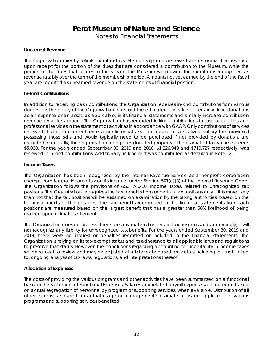Notes to Financial Statements

#### **Unearned Revenue**

The Organization directly solicits memberships. Membership dues received are recognized as revenue upon receipt for the portion of the dues that are considered a contribution to the Museum, while the portion of the dues that relates to the service the Museum will provide the member is recognized as revenue ratably over the term of the membership period. Amounts not yet earned by the end of the fiscal year are reported as unearned revenue on the statements of financial position.

#### **In-kind Contributions**

In addition to receiving cash contributions, the Organization receives in-kind contributions from various donors. It is the policy of the Organization to record the estimated fair value of certain in-kind donations as an expense or an asset, as applicable, in its financial statements and similarly increase contribution revenue by a like amount. The Organization has recorded in-kind contributions for use of facilities and professional services in the statement of activities in accordance with GAAP. Only contributions of services received that create or enhance a nonfinancial asset or require a specialized skill by the individual possessing those skills and would typically need to be purchased if not provided by donation, are recorded. Generally, the Organization recognizes donated property if the estimated fair value exceeds \$5,000. For the years ended September 30, 2019 and 2018, \$1,226,949 and \$719,727 respectively, was received in in-kind contributions. Additionally, in-kind rent was contributed as detailed in Note 12.

#### **Income Taxes**

The Organization has been recognized by the Internal Revenue Service as a nonprofit corporation exempt from federal income tax on its income, under Section 501(c)(3) of the Internal Revenue Code. The Organization follows the provisions of ASC 740-10, Income Taxes, related to unrecognized tax positions. The Organization recognizes the tax benefits from uncertain tax positions only if it is more likely than not that the tax positions will be sustained on examination by the taxing authorities, based on the technical merits of the positions. The tax benefits recognized in the financial statements from such positions are measured based on the largest benefit that has a greater than 50% likelihood of being realized upon ultimate settlement.

The Organization does not believe there are any material uncertain tax positions and accordingly, it will not recognize any liability for unrecognized tax benefits. For the years ended September 30, 2019 and 2018, there were no interest or penalties recorded or included in the financial statements. The Organization is relying on its tax-exempt status and its adherence to all applicable laws and regulations to preserve that status. However, the conclusions regarding accounting for uncertainty in income taxes will be subject to review and may be adjusted at a later date based on factors including, but not limited to, ongoing analysis of tax laws, regulations, and interpretations thereof.

#### **Allocation of Expenses**

The costs of providing the various programs and other activities have been summarized on a functional basis on the Statement of Functional Expenses. Salaries and related payroll expenses are recorded based on actual segregation of personnel by program or supporting services, when available. Distribution of all other expenses is based on actual usage or management's estimate of usage applicable to various programs and supporting services benefited.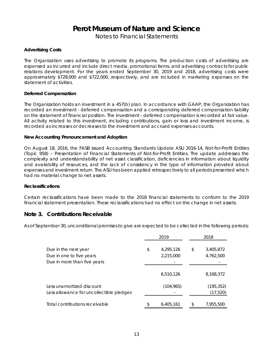Notes to Financial Statements

#### **Advertising Costs**

The Organization uses advertising to promote its programs. The production costs of advertising are expensed as incurred and include direct media, promotional items, and advertising contracts for public relations development. For the years ended September 30, 2019 and 2018, advertising costs were approximately \$728,000 and \$722,000, respectively, and are included in marketing expenses on the statement of activities.

#### **Deferred Compensation**

The Organization holds an investment in a 457(b) plan. In accordance with GAAP, the Organization has recorded an investment - deferred compensation and a corresponding deferred compensation liability on the statement of financial position. The investment - deferred compensation is recorded at fair value. All activity related to this investment, including contributions, gain or loss and investment income, is recorded as increases or decreases to the investment and accrued expenses accounts.

#### **New Accounting Pronouncement and Adoption**

On August 18, 2016, the FASB issued Accounting Standards Update ASU 2016-14, Not-for-Profit Entities (Topic 958) – Presentation of Financial Statements of Not-for-Profit Entities. The update addresses the complexity and understandability of net asset classification, deficiencies in information about liquidity and availability of resources, and the lack of consistency in the type of information provided about expenses and investment return. The ASU has been applied retrospectively to all periods presented which had no material change to net assets.

#### **Reclassifications**

Certain reclassifications have been made to the 2018 financial statements to conform to the 2019 financial statement presentation. These reclassifications had no effect on the change in net assets.

### **Note 3. Contributions Receivable**

As of September 30, unconditional promises to give are expected to be collected in the following periods:

|                                                                                 | 2019                         | 2018                         |
|---------------------------------------------------------------------------------|------------------------------|------------------------------|
| Due in the next year<br>Due in one to five years<br>Due in more than five years | \$<br>4,295,126<br>2,215,000 | \$<br>3,405,872<br>4,762,500 |
|                                                                                 | 6,510,126                    | 8,168,372                    |
| Less unamortized discount<br>Less allowance for uncollectible pledges           | (104, 965)                   | (195, 352)<br>(17, 520)      |
| Total contributions receivable                                                  | 6,405,161                    | 7,955,500                    |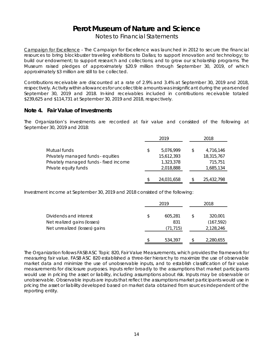Notes to Financial Statements

*Campaign for Excellence* - The Campaign for Excellence was launched in 2012 to secure the financial resources to bring blockbuster traveling exhibitions to Dallas; to support innovation and technology; to build our endowment; to support research and collections; and to grow our scholarship programs. The Museum raised pledges of approximately \$20.9 million through September 30, 2019, of which approximately \$3 million are still to be collected.

Contributions receivable are discounted at a rate of 2.9% and 3.4% at September 30, 2019 and 2018, respectively. Activity within allowances for uncollectible amounts was insignificant during the years ended September 30, 2019 and 2018. In-kind receivables included in contributions receivable totaled \$239,625 and \$114,731 at September 30, 2019 and 2018, respectively.

### **Note 4. Fair Value of Investments**

The Organization's investments are recorded at fair value and consisted of the following at September 30, 2019 and 2018:

|                                                                                                                      | 2019                                                    | 2018                                                  |
|----------------------------------------------------------------------------------------------------------------------|---------------------------------------------------------|-------------------------------------------------------|
| Mutual funds<br>Privately managed funds - equities<br>Privately managed funds - fixed income<br>Private equity funds | \$<br>5,076,999<br>15,612,393<br>1,323,378<br>2,018,888 | \$<br>4.716.146<br>18,315,767<br>715,751<br>1,685,134 |
|                                                                                                                      | 24.031.658                                              | 25,432,798                                            |

Investment income at September 30, 2019 and 2018 consisted of the following:

|                               | 2019          | 2018       |
|-------------------------------|---------------|------------|
| Dividends and interest        | \$<br>605,281 | 320,001    |
| Net realized gains (losses)   | 831           | (167, 592) |
| Net unrealized (losses) gains | (71, 715)     | 2,128,246  |
|                               | \$<br>534,397 | 2,280,655  |

The Organization follows FASB ASC Topic 820, Fair Value Measurements, which provides the framework for measuring fair value. FASB ASC 820 established a three-tier hierarchy to maximize the use of observable market data and minimize the use of unobservable inputs, and to establish classification of fair value measurements for disclosure purposes. Inputs refer broadly to the assumptions that market participants would use in pricing the asset or liability, including assumptions about risk. Inputs may be observable or unobservable. Observable inputs are inputs that reflect the assumptions market participants would use in pricing the asset or liability developed based on market data obtained from sources independent of the reporting entity.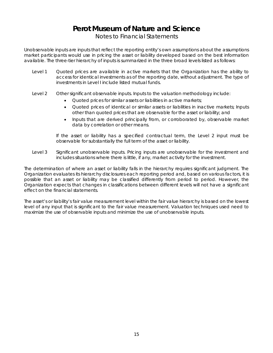Notes to Financial Statements

Unobservable inputs are inputs that reflect the reporting entity's own assumptions about the assumptions market participants would use in pricing the asset or liability developed based on the best information available. The three-tier hierarchy of inputs is summarized in the three broad levels listed as follows:

- Level 1 Quoted prices are available in active markets that the Organization has the ability to access for identical investments as of the reporting date, without adjustment. The type of investments in Level I include listed mutual funds.
- Level 2 Other significant observable inputs. Inputs to the valuation methodology include:
	- Quoted prices for similar assets or liabilities in active markets;
	- Quoted prices of identical or similar assets or liabilities in inactive markets; Inputs other than quoted prices that are observable for the asset or liability; and
	- Inputs that are derived principally from, or corroborated by, observable market data by correlation or other means.

If the asset or liability has a specified contractual term, the Level 2 input must be observable for substantially the full term of the asset or liability.

Level 3 Significant unobservable inputs. Pricing inputs are unobservable for the investment and includes situations where there is little, if any, market activity for the investment.

The determination of where an asset or liability falls in the hierarchy requires significant judgment. The Organization evaluates its hierarchy disclosures each reporting period and, based on various factors, it is possible that an asset or liability may be classified differently from period to period. However, the Organization expects that changes in classifications between different levels will not have a significant effect on the financial statements.

The asset's or liability's fair value measurement level within the fair value hierarchy is based on the lowest level of any input that is significant to the fair value measurement. Valuation techniques used need to maximize the use of observable inputs and minimize the use of unobservable inputs.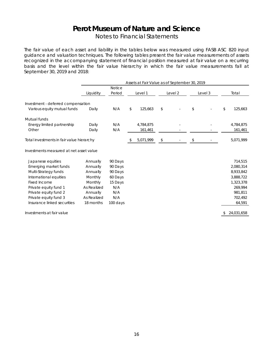Notes to Financial Statements

The fair value of each asset and liability in the tables below was measured using FASB ASC 820 input guidance and valuation techniques. The following tables present the fair value measurements of assets recognized in the accompanying statement of financial position measured at fair value on a recurring basis and the level within the fair value hierarchy in which the fair value measurements fall at September 30, 2019 and 2018:

|                                           | Assets at Fair Value as of September 30, 2019 |               |    |           |    |         |    |         |    |            |
|-------------------------------------------|-----------------------------------------------|---------------|----|-----------|----|---------|----|---------|----|------------|
|                                           |                                               | <b>Notice</b> |    |           |    |         |    |         |    |            |
|                                           | Liquidity                                     | Period        |    | Level 1   |    | Level 2 |    | Level 3 |    | Total      |
| Investment - deferred compensation        |                                               |               |    |           |    |         |    |         |    |            |
| Various equity mutual funds               | Daily                                         | N/A           | \$ | 125,663   | \$ |         | \$ |         | \$ | 125,663    |
| Mutual funds                              |                                               |               |    |           |    |         |    |         |    |            |
| Energy limited partnership                | Daily                                         | N/A           |    | 4,784,875 |    |         |    |         |    | 4,784,875  |
| Other                                     | Daily                                         | N/A           |    | 161,461   |    |         |    |         |    | 161,461    |
| Total investments in fair value hierarchy |                                               |               |    | 5,071,999 | \$ |         | \$ |         |    | 5,071,999  |
| Investments measured at net asset value   |                                               |               |    |           |    |         |    |         |    |            |
| Japanese equities                         | Annually                                      | 90 Days       |    |           |    |         |    |         |    | 714,515    |
| Emerging market funds                     | Annually                                      | 90 Days       |    |           |    |         |    |         |    | 2,080,314  |
| Multi-Strategy funds                      | Annually                                      | 90 Days       |    |           |    |         |    |         |    | 8,933,842  |
| International equities                    | Monthly                                       | 60 Days       |    |           |    |         |    |         |    | 3,888,722  |
| Fixed Income                              | Monthly                                       | 15 Days       |    |           |    |         |    |         |    | 1,323,378  |
| Private equity fund 1                     | As Realized                                   | N/A           |    |           |    |         |    |         |    | 269.994    |
| Private equity fund 2                     | Annually                                      | N/A           |    |           |    |         |    |         |    | 981,811    |
| Private equity fund 3                     | As Realized                                   | N/A           |    |           |    |         |    |         |    | 702,492    |
| Insurance linked securities               | 18 months                                     | 100 days      |    |           |    |         |    |         |    | 64,591     |
| Investments at fair value                 |                                               |               |    |           |    |         |    |         | S  | 24,031,658 |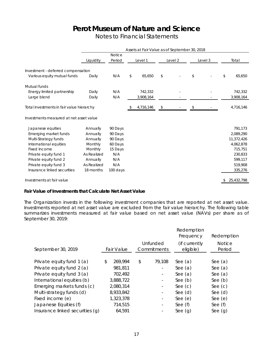Notes to Financial Statements

|                                           | Assets at Fair Value as of September 30, 2018 |                         |    |           |    |         |    |         |    |            |
|-------------------------------------------|-----------------------------------------------|-------------------------|----|-----------|----|---------|----|---------|----|------------|
|                                           | Liquidity                                     | <b>Notice</b><br>Period |    | Level 1   |    | Level 2 |    | Level 3 |    | Total      |
| Investment - deferred compensation        |                                               |                         |    |           |    |         |    |         |    |            |
| Various equity mutual funds               | Daily                                         | N/A                     | \$ | 65,650    | \$ |         | \$ |         | \$ | 65,650     |
| Mutual funds                              |                                               |                         |    |           |    |         |    |         |    |            |
| Energy limited partnership                | Daily                                         | N/A                     |    | 742,332   |    |         |    |         |    | 742,332    |
| Large blend                               | Daily                                         | N/A                     |    | 3,908,164 |    |         |    |         |    | 3,908,164  |
| Total investments in fair value hierarchy |                                               |                         |    | 4,716,146 | \$ |         | \$ |         |    | 4,716,146  |
| Investments measured at net asset value   |                                               |                         |    |           |    |         |    |         |    |            |
| Japanese equities                         | Annually                                      | 90 Days                 |    |           |    |         |    |         |    | 791,173    |
| Emerging market funds                     | Annually                                      | 90 Days                 |    |           |    |         |    |         |    | 2,089,290  |
| Multi-Strategy funds                      | Annually                                      | 90 Days                 |    |           |    |         |    |         |    | 11,372,426 |
| International equities                    | Monthly                                       | 60 Days                 |    |           |    |         |    |         |    | 4,062,878  |
| <b>Fixed Income</b>                       | Monthly                                       | 15 Days                 |    |           |    |         |    |         |    | 715,751    |
| Private equity fund 1                     | As Realized                                   | N/A                     |    |           |    |         |    |         |    | 230,833    |
| Private equity fund 2                     | Annually                                      | N/A                     |    |           |    |         |    |         |    | 599,117    |
| Private equity fund 3                     | As Realized                                   | N/A                     |    |           |    |         |    |         |    | 519,908    |
| Insurance linked securities               | 18 months                                     | 100 days                |    |           |    |         |    |         |    | 335,276    |
| Investments at fair value                 |                                               |                         |    |           |    |         |    |         |    | 25,432,798 |

#### **Fair Value of Investments that Calculate Net Asset Value**

The Organization invests in the following investment companies that are reported at net asset value. Investments reported at net asset value are excluded from the fair value hierarchy. The following table summarizes investments measured at fair value based on net asset value (NAVs) per share as of September 30, 2019:

|                                 |               |                         | Redemption<br>Frequency    | Redemption              |
|---------------------------------|---------------|-------------------------|----------------------------|-------------------------|
| September 30, 2019              | Fair Value    | Unfunded<br>Commitments | (if currently<br>eligible) | <b>Notice</b><br>Period |
|                                 |               |                         |                            |                         |
| Private equity fund 1 (a)       | \$<br>269,994 | \$<br>79,108            | See $(a)$                  | See $(a)$               |
| Private equity fund 2 (a)       | 981,811       |                         | See $(a)$                  | See $(a)$               |
| Private equity fund 3 (a)       | 702,492       |                         | See $(a)$                  | See $(a)$               |
| International equities (b)      | 3,888,722     |                         | See $(b)$                  | See $(b)$               |
| Emerging markets funds (c)      | 2,080,314     |                         | See $(c)$                  | See $(c)$               |
| Multi-strategy funds (d)        | 8,933,842     |                         | See $(d)$                  | See $(d)$               |
| Fixed income (e)                | 1,323,378     |                         | See $(e)$                  | See $(e)$               |
| Japanese Equities (f)           | 714,515       |                         | See (f)                    | See $(f)$               |
| Insurance linked securities (q) | 64,591        |                         | See $(q)$                  | See $(g)$               |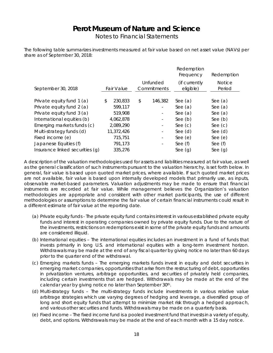Notes to Financial Statements

The following table summarizes investments measured at fair value based on net asset value (NAVs) per share as of September 30, 2018:

|                                 |               |                          | Redemption<br>Frequency    | Redemption              |
|---------------------------------|---------------|--------------------------|----------------------------|-------------------------|
| September 30, 2018              | Fair Value    | Unfunded<br>Commitments  | (if currently<br>eligible) | <b>Notice</b><br>Period |
| Private equity fund $1(a)$      | \$<br>230,833 | \$<br>146,382            | See $(a)$                  | See $(a)$               |
| Private equity fund $2(a)$      | 599,117       |                          | See $(a)$                  | See $(a)$               |
| Private equity fund $3(a)$      | 519,908       | $\overline{\phantom{a}}$ | See $(a)$                  | See $(a)$               |
| International equities (b)      | 4,062,878     |                          | See $(b)$                  | See $(b)$               |
| Emerging markets funds (c)      | 2,089,290     | $\sim$                   | See $(c)$                  | See $(c)$               |
| Multi-strategy funds (d)        | 11,372,426    | $\overline{\phantom{a}}$ | See (d)                    | See $(d)$               |
| Fixed income (e)                | 715,751       |                          | See $(e)$                  | See $(e)$               |
| Japanese Equities (f)           | 791,173       |                          | See $(f)$                  | See (f)                 |
| Insurance linked securities (q) | 335,276       |                          | See $(g)$                  | See $(q)$               |

A description of the valuation methodologies used for assets and liabilities measured at fair value, as well as the general classification of such instruments pursuant to the valuation hierarchy, is set forth below. In general, fair value is based upon quoted market prices, where available. If such quoted market prices are not available, fair value is based upon internally developed models that primarily use, as inputs, observable market-based parameters. Valuation adjustments may be made to ensure that financial instruments are recorded at fair value. While management believes the Organization's valuation methodologies are appropriate and consistent with other market participants, the use of different methodologies or assumptions to determine the fair value of certain financial instruments could result in a different estimate of fair value at the reporting date.

- (a) Private equity funds The private equity fund contains interest in various established private equity funds and interest in operating companies owned by private equity funds. Due to the nature of the investments, restrictions on redemptions exist in some of the private equity funds and amounts are considered illiquid.
- (b) International equities The international equities includes an investment in a fund of funds that invests primarily in long U.S. and international equities with a long-term investment horizon. Withdrawals may be made at the end of any fiscal quarter by giving notice no later than 60 days prior to the quarter end of the withdrawal.
- (c) Emerging markets funds The emerging markets funds invest in equity and debt securities in emerging market companies, opportunities that arise from the restructuring of debt, opportunities in privatization ventures, arbitrage opportunities, and securities of privately held companies, including certain investments that are hedged. Withdrawals may be made at the end of the calendar year by giving notice no later than September 30th.
- (d) Multi-strategy funds The multi-strategy funds include investments in various relative value arbitrage strategies which use varying degrees of hedging and leverage, a diversified group of long and short equity funds that attempt to minimize market risk through a hedged approach, and various other securities and funds. Withdrawals may be made on a quarterly basis.
- (e) Fixed income The fixed income fund is a pooled investment fund that invests in a variety of equity, debt, and options. Withdrawals may be made at the end of each month with a 15 day notice.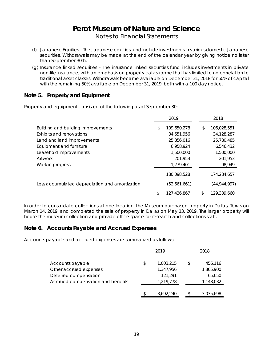Notes to Financial Statements

- (f) Japanese Equities The Japanese equities fund include investments in various domestic Japanese securities. Withdrawals may be made at the end of the calendar year by giving notice no later than September 30th.
- (g) Insurance linked securities The insurance linked securities fund includes investments in private non-life insurance, with an emphasis on property catastrophe that has limited to no correlation to traditional asset classes. Withdrawals became available on December 31, 2018 for 50% of capital with the remaining 50% available on December 31, 2019, both with a 100 day notice.

### **Note 5. Property and Equipment**

Property and equipment consisted of the following as of September 30:

|                                                |    | 2019         |    | 2018         |  |
|------------------------------------------------|----|--------------|----|--------------|--|
| Building and building improvements             | \$ | 109,650,278  | \$ | 106,028,551  |  |
| Exhibits and renovations                       |    | 34,651,956   |    | 34,128,287   |  |
| Land and land improvements                     |    | 25,856,016   |    | 25,780,485   |  |
| Equipment and furniture                        |    | 6,958,924    |    | 6,546,432    |  |
| Leasehold improvements                         |    | 1,500,000    |    | 1,500,000    |  |
| Artwork                                        |    | 201,953      |    | 201,953      |  |
| Work in progress                               |    | 1,279,401    |    | 98,949       |  |
|                                                |    | 180.098.528  |    | 174,284,657  |  |
| Less accumulated depreciation and amortization |    | (52,661,661) |    | (44,944,997) |  |
|                                                |    | 127,436,867  | \$ | 129,339,660  |  |

In order to consolidate collections at one location, the Museum purchased property in Dallas, Texas on March 14, 2019, and completed the sale of property in Dallas on May 13, 2019. The larger property will house the museum collection and provide office space for research and collections staff.

### **Note 6. Accounts Payable and Accrued Expenses**

Accounts payable and accrued expenses are summarized as follows:

|                                   | 2019 |           | 2018 |           |
|-----------------------------------|------|-----------|------|-----------|
|                                   |      |           |      |           |
| Accounts payable                  | \$   | 1,003,215 | \$   | 456,116   |
| Other accrued expenses            |      | 1,347,956 |      | 1,365,900 |
| Deferred compensation             |      | 121,291   |      | 65,650    |
| Accrued compensation and benefits |      | 1,219,778 |      | 1,148,032 |
|                                   |      |           |      |           |
|                                   |      | 3.692.240 | S    | 3,035,698 |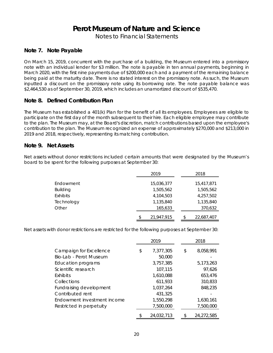Notes to Financial Statements

### **Note 7. Note Payable**

On March 15, 2019, concurrent with the purchase of a building, the Museum entered into a promissory note with an individual lender for \$3 million. The note is payable in ten annual payments, beginning in March 2020, with the first nine payments due of \$200,000 each and a payment of the remaining balance being paid at the maturity date. There is no stated interest on the promissory note. As such, the Museum inputted a discount on the promissory note using its borrowing rate. The note payable balance was \$2,464,530 as of September 30, 2019, which includes an unamortized discount of \$535,470.

### **Note 8. Defined Contribution Plan**

The Museum has established a 401(k) Plan for the benefit of all its employees. Employees are eligible to participate on the first day of the month subsequent to their hire. Each eligible employee may contribute to the plan. The Museum may, at the Board's discretion, match contributions based upon the employee's contribution to the plan. The Museum recognized an expense of approximately \$270,000 and \$213,000 in 2019 and 2018, respectively, representing its matching contribution.

### **Note 9. Net Assets**

Net assets without donor restrictions included certain amounts that were designated by the Museum's board to be spent for the following purposes at September 30:

|                 | 2019             |    | 2018       |
|-----------------|------------------|----|------------|
| Endowment       | 15,036,377       |    | 15,417,871 |
| <b>Building</b> | 1,505,562        |    | 1,505,562  |
| <b>Exhibits</b> | 4,104,503        |    | 4,257,502  |
| Technology      | 1,135,840        |    | 1,135,840  |
| Other           | 165,633          |    | 370,632    |
|                 | \$<br>21,947,915 | \$ | 22,687,407 |

Net assets with donor restrictions are restricted for the following purposes at September 30:

|                             | 2019 |            | 2018 |            |
|-----------------------------|------|------------|------|------------|
| Campaign for Excellence     | \$   | 7,377,305  | \$   | 8,058,991  |
| Bio-Lab - Perot Museum      |      | 50,000     |      |            |
| <b>Education programs</b>   |      | 3,757,385  |      | 5,173,263  |
| Scientific research         |      | 107,115    |      | 97.626     |
| <b>Exhibits</b>             |      | 1,610,088  |      | 653,476    |
| Collections                 |      | 611,933    |      | 310,833    |
| Fundraising development     |      | 1,037,264  |      | 848,235    |
| Contributed rent            |      | 431,325    |      |            |
| Endowment investment income |      | 1,550,298  |      | 1,630,161  |
| Restricted in perpetuity    |      | 7,500,000  |      | 7,500,000  |
|                             |      | 24,032,713 |      | 24,272,585 |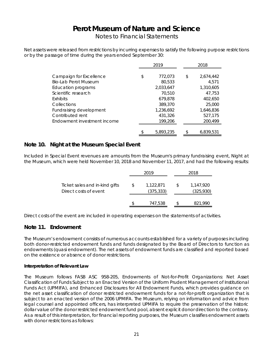Notes to Financial Statements

Net assets were released from restrictions by incurring expenses to satisfy the following purpose restrictions or by the passage of time during the years ended September 30:

|                             | 2019 |           | 2018            |  |
|-----------------------------|------|-----------|-----------------|--|
|                             |      |           |                 |  |
| Campaign for Excellence     | \$   | 772,073   | \$<br>2,674,442 |  |
| <b>Bio-Lab Perot Museum</b> |      | 80,533    | 4.571           |  |
| <b>Education programs</b>   |      | 2.033.647 | 1,310,605       |  |
| Scientific research         |      | 70,510    | 47.753          |  |
| <b>Exhibits</b>             |      | 679.878   | 402,650         |  |
| Collections                 |      | 389,370   | 25,000          |  |
| Fundraising development     |      | 1.236.692 | 1,646,836       |  |
| Contributed rent            |      | 431,326   | 527,175         |  |
| Endowment investment income |      | 199,206   | 200,499         |  |
|                             |      |           |                 |  |
|                             | \$   | 5,893,235 | 6,839,531       |  |

### **Note 10. Night at the Museum Special Event**

Included in Special Event revenues are amounts from the Museum's primary fundraising event, Night at the Museum, which were held November 10, 2018 and November 11, 2017, and had the following results:

|                                                         | 2019                    | 2018                    |
|---------------------------------------------------------|-------------------------|-------------------------|
| Ticket sales and in-kind gifts<br>Direct costs of event | 1,122,871<br>(375, 333) | 1,147,920<br>(325, 930) |
|                                                         | 747,538                 | 821,990                 |

Direct costs of the event are included in operating expenses on the statements of activities.

### **Note 11. Endowment**

The Museum's endowment consists of numerous accounts established for a variety of purposes including both donor-restricted endowment funds and funds designated by the Board of Directors to function as endowments (quasi endowment). The net assets of endowment funds are classified and reported based on the existence or absence of donor restrictions.

#### **Interpretation of Relevant Law**

The Museum follows FASB ASC 958-205, Endowments of Not-for-Profit Organizations: Net Asset Classification of Funds Subject to an Enacted Version of the Uniform Prudent Management of Institutional Funds Act (UPMIFA), and Enhanced Disclosures for All Endowment Funds, which provides guidance on the net asset classification of donor restricted endowment funds for a not-for-profit organization that is subject to an enacted version of the 2006 UPMIFA. The Museum, relying on information and advice from legal counsel and appointed officers, has interpreted UPMIFA to require the preservation of the historic dollar value of the donor restricted endowment fund pool, absent explicit donor direction to the contrary. As a result of this interpretation, for financial reporting purposes, the Museum classifies endowment assets with donor restrictions as follows: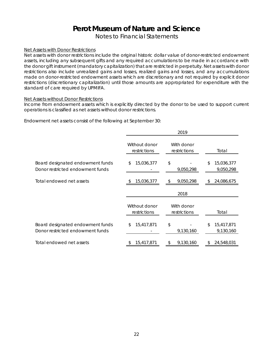Notes to Financial Statements

#### *Net Assets with Donor Restrictions*

Net assets with donor restrictions include the original historic dollar value of donor-restricted endowment assets, including any subsequent gifts and any required accumulations to be made in accordance with the donor gift instrument (mandatory capitalization) that are restricted in perpetuity. Net assets with donor restrictions also include unrealized gains and losses, realized gains and losses, and any accumulations made on donor-restricted endowment assets which are discretionary and not required by explicit donor restrictions (discretionary capitalization) until those amounts are appropriated for expenditure with the standard of care required by UPMIFA.

#### *Net Assets without Donor Restrictions*

Income from endowment assets which is explicitly directed by the donor to be used to support current operations is classified as net assets without donor restrictions.

Endowment net assets consist of the following at September 30:

|                                                                      | 2019                          |                            |                                |  |  |
|----------------------------------------------------------------------|-------------------------------|----------------------------|--------------------------------|--|--|
|                                                                      | Without donor<br>restrictions | With donor<br>restrictions | Total                          |  |  |
| Board designated endowment funds<br>Donor restricted endowment funds | 15,036,377<br>\$              | \$<br>9,050,298            | 15,036,377<br>\$<br>9,050,298  |  |  |
| Total endowed net assets                                             | 15,036,377                    | 9,050,298                  | 24,086,675                     |  |  |
|                                                                      |                               | 2018                       |                                |  |  |
|                                                                      | Without donor<br>restrictions | With donor<br>restrictions | Total                          |  |  |
| Board designated endowment funds<br>Donor restricted endowment funds | 15,417,871<br>\$              | \$<br>9,130,160            | 15,417,871<br>\$.<br>9,130,160 |  |  |
| Total endowed net assets                                             | 15,417,871                    | 9,130,160                  | 24,548,031                     |  |  |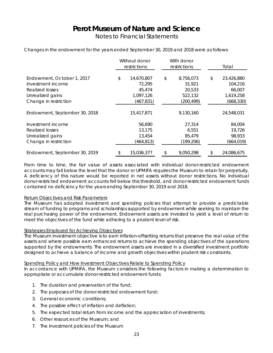Notes to Financial Statements

Changes in the endowment for the years ended September 30, 2019 and 2018 were as follows:

|                                                                                                                 | Without donor<br>restrictions                                   |    | With donor<br>restrictions                             |    | Total                                                      |
|-----------------------------------------------------------------------------------------------------------------|-----------------------------------------------------------------|----|--------------------------------------------------------|----|------------------------------------------------------------|
| Endowment, October 1, 2017<br>Investment income<br>Realized losses<br>Unrealized gains<br>Change in restriction | \$<br>14,670,807<br>72,295<br>45,474<br>1,097,126<br>(467, 831) | \$ | 8,756,073<br>31,921<br>20,533<br>522,132<br>(200, 499) | \$ | 23,426,880<br>104,216<br>66,007<br>1,619,258<br>(668, 330) |
| Endowment, September 30, 2018                                                                                   | 15,417,871                                                      |    | 9,130,160                                              |    | 24,548,031                                                 |
| Investment income<br>Realized losses<br>Unrealized gains<br>Change in restriction                               | 56,690<br>13,175<br>13,454<br>(464, 813)                        |    | 27,314<br>6,551<br>85,479<br>(199, 206)                |    | 84,004<br>19,726<br>98,933<br>(664, 019)                   |
| Endowment, September 30, 2019                                                                                   | \$<br>15,036,377                                                | \$ | 9,050,298                                              | \$ | 24,086,675                                                 |

From time to time, the fair value of assets associated with individual donor-restricted endowment accounts may fall below the level that the donor or UPMIFA requires the Museum to retain for perpetuity. A deficiency of this nature would be reported in net assets without donor restrictions. No individual donor-restricted endowment accounts fell below this threshold, and donor-restricted endowment funds contained no deficiency for the years ending September 30, 2019 and 2018.

#### *Return Objectives and Risk Parameters*

The Museum has adopted investment and spending policies that attempt to provide a predictable stream of funding to programs and scholarships supported by endowment while seeking to maintain the real purchasing power of the endowment. Endowment assets are invested to yield a level of return to meet the objectives of the fund while adhering to a prudent level of risk.

#### *Strategies Employed for Achieving Objectives*

The Museum investment objective is to earn inflation-offsetting returns that preserve the real value of the assets and where possible earn enhanced returns to achieve the spending objectives of the operations supported by the endowments. The endowment assets are invested in a diversified investment portfolio designed to achieve a balance of income and growth objectives within prudent risk constraints.

#### *Spending Policy and How Investment Objectives Relate to Spending Policy*

In accordance with UPMIFA, the Museum considers the following factors in making a determination to appropriate or accumulate donor-restricted endowment funds:

- 1. The duration and preservation of the fund;
- 2. The purposes of the donor-restricted endowment fund;
- 3. General economic conditions;
- 4. The possible effect of inflation and deflation;
- 5. The expected total return from income and the appreciation of investments;
- 6. Other resources of the Museum; and
- 7. The investment policies of the Museum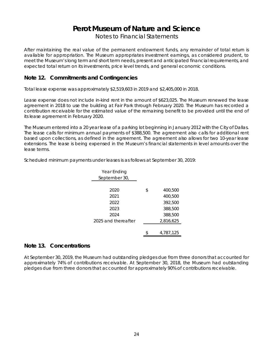Notes to Financial Statements

After maintaining the real value of the permanent endowment funds, any remainder of total return is available for appropriation. The Museum appropriates investment earnings, as considered prudent, to meet the Museum's long term and short term needs, present and anticipated financial requirements, and expected total return on its investments, price level trends, and general economic conditions.

### **Note 12. Commitments and Contingencies**

Total lease expense was approximately \$2,519,603 in 2019 and \$2,405,000 in 2018.

Lease expense does not include in-kind rent in the amount of \$623,025. The Museum renewed the lease agreement in 2018 to use the building at Fair Park through February 2020. The Museum has recorded a contribution receivable for the estimated value of the remaining benefit to be provided until the end of its lease agreement in February 2020.

The Museum entered into a 20 year lease of a parking lot beginning in January 2012 with the City of Dallas. The lease calls for minimum annual payments of \$388,500. The agreement also calls for additional rent based upon collections, as defined in the agreement. The agreement also allows for two 10-year lease extensions. The lease is being expensed in the Museum's financial statements in level amounts over the lease terms.

Scheduled minimum payments under leases is as follows at September 30, 2019:

| Year Ending         |               |
|---------------------|---------------|
| September 30,       |               |
|                     |               |
| 2020                | \$<br>400,500 |
| 2021                | 400,500       |
| 2022                | 392,500       |
| 2023                | 388,500       |
| 2024                | 388,500       |
| 2025 and thereafter | 2,816,625     |
|                     |               |
|                     | 4,787,125     |

### **Note 13. Concentrations**

At September 30, 2019, the Museum had outstanding pledges due from three donors that accounted for approximately 74% of contributions receivable. At September 30, 2018, the Museum had outstanding pledges due from three donors that accounted for approximately 90% of contributions receivable.